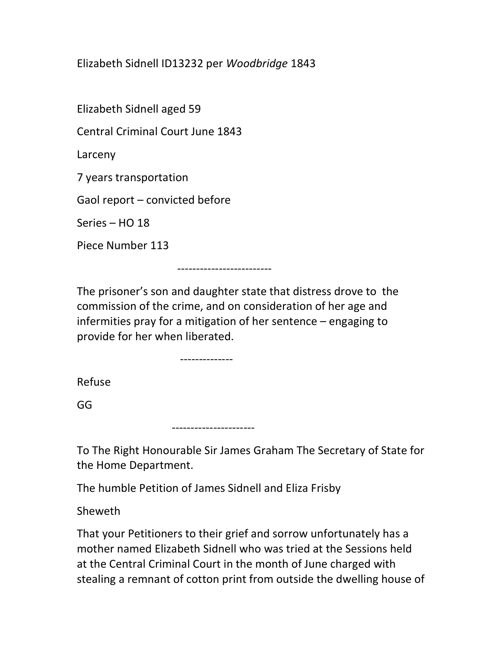Elizabeth Sidnell ID13232 per Woodbridge 1843

Elizabeth Sidnell aged 59

Central Criminal Court June 1843

Larceny

7 years transportation

Gaol report – convicted before

Series – HO 18

Piece Number 113

-------------------------

The prisoner's son and daughter state that distress drove to the commission of the crime, and on consideration of her age and infermities pray for a mitigation of her sentence – engaging to provide for her when liberated.

--------------

Refuse

GG

----------------------

To The Right Honourable Sir James Graham The Secretary of State for the Home Department.

The humble Petition of James Sidnell and Eliza Frisby

Sheweth

That your Petitioners to their grief and sorrow unfortunately has a mother named Elizabeth Sidnell who was tried at the Sessions held at the Central Criminal Court in the month of June charged with stealing a remnant of cotton print from outside the dwelling house of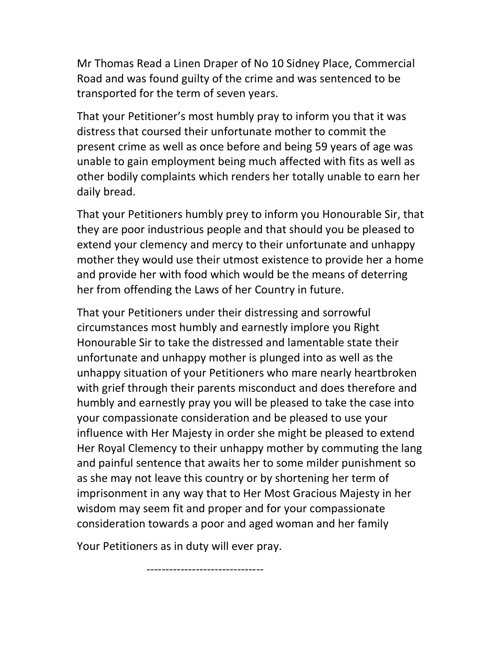Mr Thomas Read a Linen Draper of No 10 Sidney Place, Commercial Road and was found guilty of the crime and was sentenced to be transported for the term of seven years.

That your Petitioner's most humbly pray to inform you that it was distress that coursed their unfortunate mother to commit the present crime as well as once before and being 59 years of age was unable to gain employment being much affected with fits as well as other bodily complaints which renders her totally unable to earn her daily bread.

That your Petitioners humbly prey to inform you Honourable Sir, that they are poor industrious people and that should you be pleased to extend your clemency and mercy to their unfortunate and unhappy mother they would use their utmost existence to provide her a home and provide her with food which would be the means of deterring her from offending the Laws of her Country in future.

That your Petitioners under their distressing and sorrowful circumstances most humbly and earnestly implore you Right Honourable Sir to take the distressed and lamentable state their unfortunate and unhappy mother is plunged into as well as the unhappy situation of your Petitioners who mare nearly heartbroken with grief through their parents misconduct and does therefore and humbly and earnestly pray you will be pleased to take the case into your compassionate consideration and be pleased to use your influence with Her Majesty in order she might be pleased to extend Her Royal Clemency to their unhappy mother by commuting the lang and painful sentence that awaits her to some milder punishment so as she may not leave this country or by shortening her term of imprisonment in any way that to Her Most Gracious Majesty in her wisdom may seem fit and proper and for your compassionate consideration towards a poor and aged woman and her family

Your Petitioners as in duty will ever pray.

-------------------------------